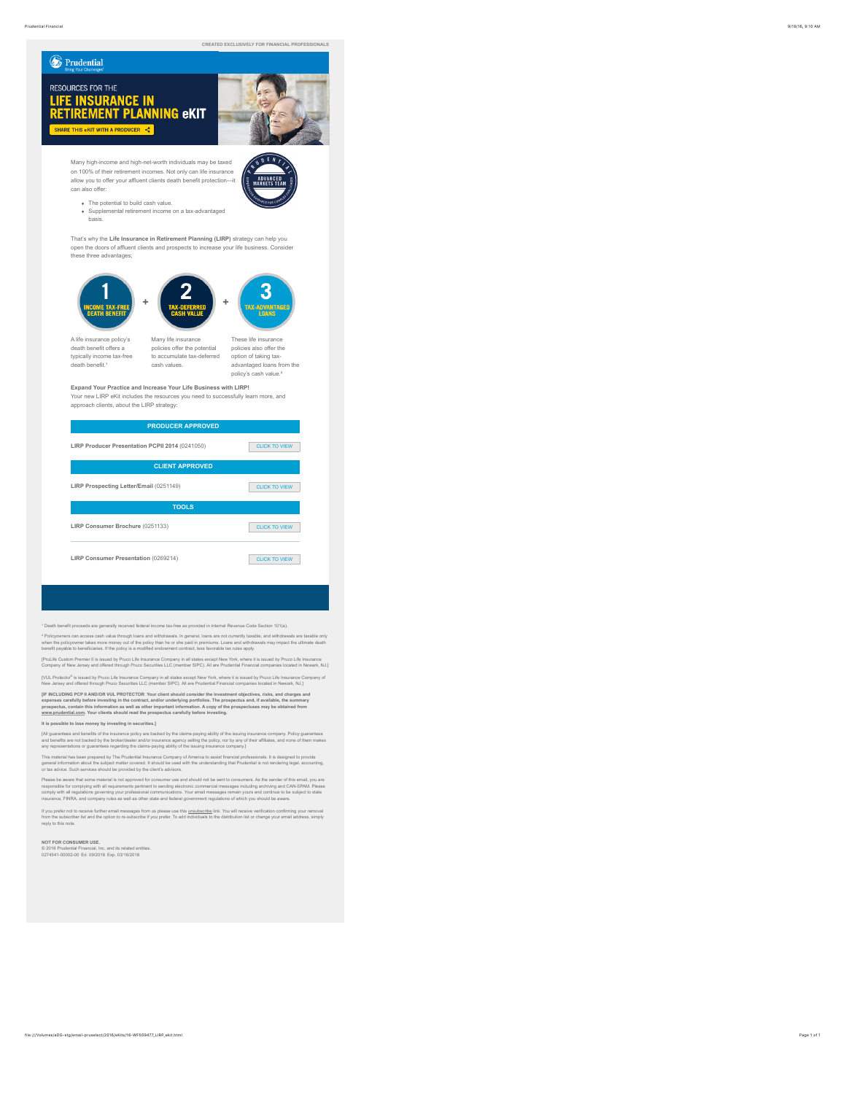## **B** Prudential

# RESOURCES FOR THE **ESSENCES FOR THE THE SET OF SET IN RETIREMENT PLANNING CKIT**



**VDENT** 

Many high-income and high-net-worth individuals may be taxed on 100% of their retirement incomes. Not only can life insurance allow you to offer your affluent clients death benefit protection—it can also offer:

- The potential to build cash value.
- Supplemental retirement income on a tax-advantaged basis.

That's why the **Life Insurance in Retirement Planning (LIRP)** strategy can help you open the doors of affluent clients and prospects to increase your life business. Consider these three advantages;



A life insurance policy's death benefit offers a typically income tax-free death benefit.<sup>1</sup>

 Many life insurance policies offer the potential to accumulate tax-deferred cash values.

 These life insurance policies also offer the option of taking taxadvantaged loans from the policy's cash value.²

#### **Expand Your Practice and Increase Your Life Business with LIRP!**

Your new LIRP eKit includes the resources you need to successfully learn more, and approach clients, about the LIRP strategy:

| <b>PRODUCER APPROVED</b>                        |                      |  |
|-------------------------------------------------|----------------------|--|
| LIRP Producer Presentation PCPII 2014 (0241050) | CLICK TO VIEW        |  |
| <b>CLIENT APPROVED</b>                          |                      |  |
| LIRP Prospecting Letter/Email (0251149)         | <b>CLICK TO VIEW</b> |  |
| <b>TOOLS</b>                                    |                      |  |
| LIRP Consumer Brochure (0251133)                | <b>CLICK TO VIEW</b> |  |
| LIRP Consumer Presentation (0269214)            | CLICK TO VIEW        |  |

<sup>9</sup> Death benefit proceeds are generally received federal income tax-free as provided in Internal Revenue Code Section 101(a).

\* Policyowners can access cash value through loans and withdrawals. In general, loans are not currently taxable, and withdrawals are taxable only<br>when the policyowner takes more money out of the policy than he or she paid

[PruLife Custom Premier II is issued by Pruco Life Insurance Company in all states except New York, where it is issued by Pruco Life Insurance<br>Company of New Jersey and offered through Pruco Securities LLC (member SIPC). A

[VUL Protector® is issued by Pruco Life Insurance Company in all states except New York, where it is issued by Pruco Life Insurance Company of<br>New Jersey and offered through Pruco Securities LLC (member SIPC). All are Prud

[iF MCLUDING PCP iI AND/OR VUL PROTECTOR: Your client should consider the investment objectives, risks, and charges and<br>expenses carefully before investing in the contract, and/or underlying portfolios. The prospectus and,

#### **It is possible to lose money by investing in securities.]**

[All guarantees and benefits of the insurance policy are backed by the claims-paying ability of the issuing insurance company. Policy guarantees<br>and benefits are not backed by the broker/dealer and/or insurance agency sell

This material has been prepared by The Prudential Insurance Company of America to assist financial professionals. It is designed to provide<br>general information about the subject matter covered. It shoud be used with the un

Please be aware that some material is not approved for consumer use and should not be sent to consumers. As the sender of this email, you are<br>responsible for complying with all requirements pertinent to seming electronic c ce, FINRA, and company rules as well as other state and federal government regulations of which you should be aware.

If you prefer not to receive further email messages from us please use this <u>unsubscribe</u> link. You will receive verification confirming your removal<br>from the subscriber list and the option to re-subscribe if you prefer. T reply to this note.

#### **NOT FOR CONSUMER USE.**

© 2016 Prudential Financial, Inc. and its related entities. 0274541-00002-00 Ed. 09/2016 Exp. 03/16/2018